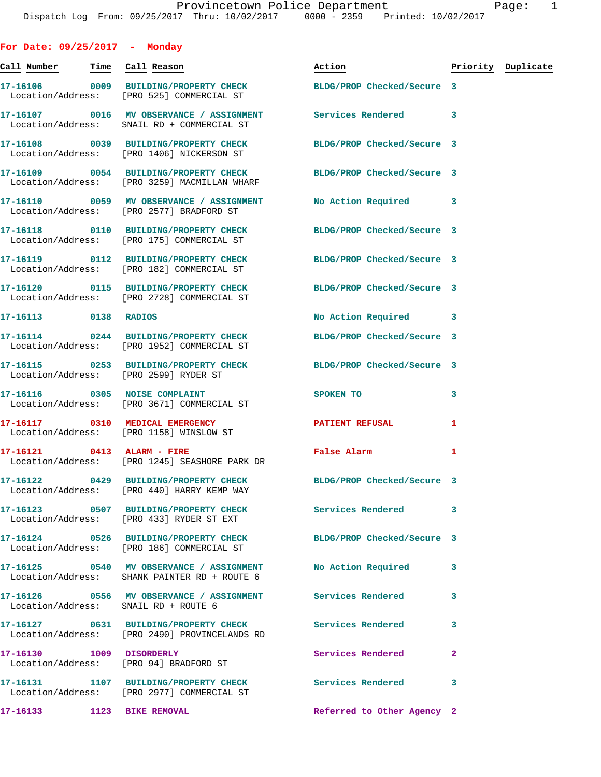**For Date: 09/25/2017 - Monday Call Number Time Call Reason Action Priority Duplicate 17-16106 0009 BUILDING/PROPERTY CHECK BLDG/PROP Checked/Secure 3**  Location/Address: [PRO 525] COMMERCIAL ST **17-16107 0016 MV OBSERVANCE / ASSIGNMENT Services Rendered 3**  Location/Address: SNAIL RD + COMMERCIAL ST **17-16108 0039 BUILDING/PROPERTY CHECK BLDG/PROP Checked/Secure 3**  Location/Address: [PRO 1406] NICKERSON ST **17-16109 0054 BUILDING/PROPERTY CHECK BLDG/PROP Checked/Secure 3**  Location/Address: [PRO 3259] MACMILLAN WHARF **17-16110 0059 MV OBSERVANCE / ASSIGNMENT No Action Required 3**  Location/Address: [PRO 2577] BRADFORD ST **17-16118 0110 BUILDING/PROPERTY CHECK BLDG/PROP Checked/Secure 3**  Location/Address: [PRO 175] COMMERCIAL ST **17-16119 0112 BUILDING/PROPERTY CHECK BLDG/PROP Checked/Secure 3**  Location/Address: [PRO 182] COMMERCIAL ST **17-16120 0115 BUILDING/PROPERTY CHECK BLDG/PROP Checked/Secure 3**  Location/Address: [PRO 2728] COMMERCIAL ST **17-16113 0138 RADIOS No Action Required 3 17-16114 0244 BUILDING/PROPERTY CHECK BLDG/PROP Checked/Secure 3**  Location/Address: [PRO 1952] COMMERCIAL ST **17-16115 0253 BUILDING/PROPERTY CHECK BLDG/PROP Checked/Secure 3**  Location/Address: [PRO 2599] RYDER ST **17-16116** 0305 NOISE COMPLAINT SPOKEN TO 3 Location/Address: [PRO 3671] COMMERCIAL ST **17-16117 0310 MEDICAL EMERGENCY PATIENT REFUSAL 1**  Location/Address: [PRO 1158] WINSLOW ST **17-16121 0413 ALARM - FIRE False Alarm 1**  Location/Address: [PRO 1245] SEASHORE PARK DR **17-16122 0429 BUILDING/PROPERTY CHECK BLDG/PROP Checked/Secure 3**  Location/Address: [PRO 440] HARRY KEMP WAY **17-16123 0507 BUILDING/PROPERTY CHECK Services Rendered 3**  Location/Address: [PRO 433] RYDER ST EXT **17-16124 0526 BUILDING/PROPERTY CHECK BLDG/PROP Checked/Secure 3**  Location/Address: [PRO 186] COMMERCIAL ST **17-16125 0540 MV OBSERVANCE / ASSIGNMENT No Action Required 3**  Location/Address: SHANK PAINTER RD + ROUTE 6 **17-16126 0556 MV OBSERVANCE / ASSIGNMENT Services Rendered 3**  Location/Address: SNAIL RD + ROUTE 6 **17-16127 0631 BUILDING/PROPERTY CHECK Services Rendered 3**  Location/Address: [PRO 2490] PROVINCELANDS RD **17-16130 1009 DISORDERLY Services Rendered 2**  Location/Address: [PRO 94] BRADFORD ST **17-16131 1107 BUILDING/PROPERTY CHECK Services Rendered 3**  Location/Address: [PRO 2977] COMMERCIAL ST

**17-16133 1123 BIKE REMOVAL Referred to Other Agency 2**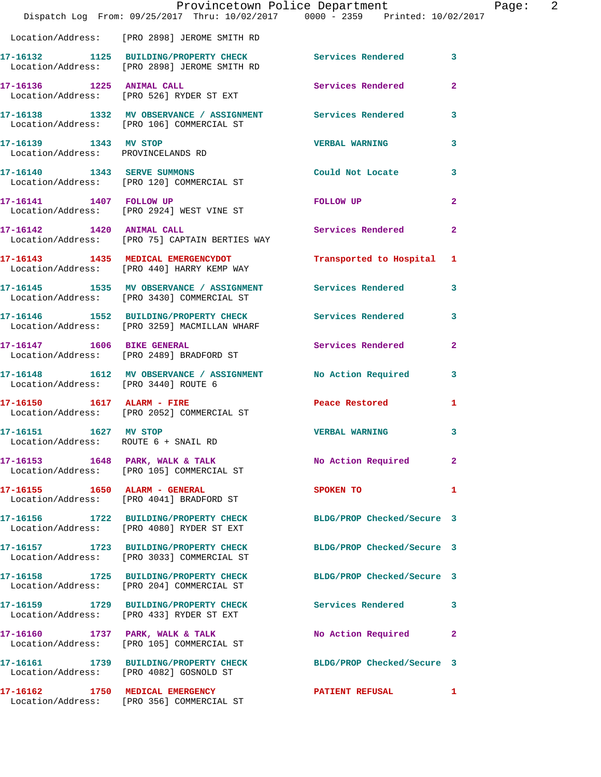|                                                                   | Dispatch Log From: 09/25/2017 Thru: 10/02/2017 0000 - 2359 Printed: 10/02/2017                                | Provincetown Police Department | $\overline{\phantom{a}}^2$<br>Page: |
|-------------------------------------------------------------------|---------------------------------------------------------------------------------------------------------------|--------------------------------|-------------------------------------|
|                                                                   | Location/Address: [PRO 2898] JEROME SMITH RD                                                                  |                                |                                     |
|                                                                   | 17-16132 1125 BUILDING/PROPERTY CHECK Services Rendered 3<br>Location/Address: [PRO 2898] JEROME SMITH RD     |                                |                                     |
|                                                                   | Location/Address: [PRO 526] RYDER ST EXT                                                                      | Services Rendered              | $\overline{2}$                      |
|                                                                   | 17-16138 1332 MV OBSERVANCE / ASSIGNMENT Services Rendered 3<br>Location/Address: [PRO 106] COMMERCIAL ST     |                                |                                     |
| 17-16139    1343    MV STOP<br>Location/Address: PROVINCELANDS RD |                                                                                                               | <b>VERBAL WARNING</b>          | 3                                   |
|                                                                   | 17-16140 1343 SERVE SUMMONS<br>Location/Address: [PRO 120] COMMERCIAL ST                                      | Could Not Locate 3             |                                     |
|                                                                   | 17-16141 1407 FOLLOW UP<br>Location/Address: [PRO 2924] WEST VINE ST                                          | FOLLOW UP                      | $\mathbf{2}$                        |
| 17-16142 1420 ANIMAL CALL                                         | Location/Address: [PRO 75] CAPTAIN BERTIES WAY                                                                | Services Rendered 2            |                                     |
|                                                                   | 17-16143 1435 MEDICAL EMERGENCYDOT<br>Location/Address: [PRO 440] HARRY KEMP WAY                              | Transported to Hospital 1      |                                     |
|                                                                   | 17-16145 1535 MV OBSERVANCE / ASSIGNMENT Services Rendered 3<br>  Location/Address: [PRO 3430] COMMERCIAL ST  |                                |                                     |
|                                                                   | 17-16146 1552 BUILDING/PROPERTY CHECK Services Rendered<br>Location/Address: [PRO 3259] MACMILLAN WHARF       |                                | $\mathbf{3}$                        |
|                                                                   | 17-16147 1606 BIKE GENERAL<br>Location/Address: [PRO 2489] BRADFORD ST                                        | Services Rendered              | $\mathbf{2}$                        |
| Location/Address: [PRO 3440] ROUTE 6                              | 17-16148 1612 MV OBSERVANCE / ASSIGNMENT No Action Required 3                                                 |                                |                                     |
|                                                                   | 17-16150    1617    ALARM - FIRE<br>Location/Address: [PRO 2052] COMMERCIAL ST                                | Peace Restored                 | $\mathbf{1}$                        |
| 17-16151 1627 MV STOP<br>Location/Address: ROUTE 6 + SNAIL RD     |                                                                                                               | <b>VERBAL WARNING</b> 3        |                                     |
|                                                                   | 17-16153 1648 PARK, WALK & TALK<br>Location/Address: [PRO 105] COMMERCIAL ST                                  | No Action Required             | $\mathbf{2}$                        |
|                                                                   | 17-16155    1650    ALARM - GENERAL<br>Location/Address: [PRO 4041] BRADFORD ST                               | SPOKEN TO                      | 1                                   |
|                                                                   | 17-16156 1722 BUILDING/PROPERTY CHECK BLDG/PROP Checked/Secure 3<br>Location/Address: [PRO 4080] RYDER ST EXT |                                |                                     |
|                                                                   | 17-16157 1723 BUILDING/PROPERTY CHECK<br>Location/Address: [PRO 3033] COMMERCIAL ST                           | BLDG/PROP Checked/Secure 3     |                                     |
|                                                                   | 17-16158 1725 BUILDING/PROPERTY CHECK BLDG/PROP Checked/Secure 3<br>Location/Address: [PRO 204] COMMERCIAL ST |                                |                                     |
|                                                                   | 17-16159 1729 BUILDING/PROPERTY CHECK Services Rendered<br>Location/Address: [PRO 433] RYDER ST EXT           |                                | 3                                   |
|                                                                   | 17-16160 1737 PARK, WALK & TALK<br>Location/Address: [PRO 105] COMMERCIAL ST                                  | No Action Required             | $\mathbf{2}$                        |
|                                                                   | 17-16161 1739 BUILDING/PROPERTY CHECK<br>Location/Address: [PRO 4082] GOSNOLD ST                              | BLDG/PROP Checked/Secure 3     |                                     |
|                                                                   | 17-16162 1750 MEDICAL EMERGENCY<br>Location/Address: [PRO 356] COMMERCIAL ST                                  | PATIENT REFUSAL                | $\mathbf{1}$                        |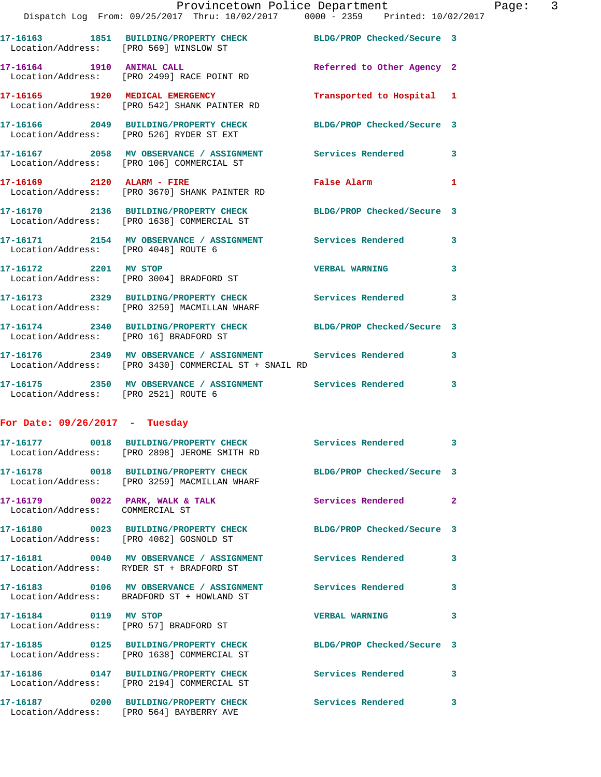|                                                                    | Provincetown Police Department<br>Dispatch Log From: 09/25/2017 Thru: 10/02/2017 0000 - 2359 Printed: 10/02/2017    |                            |              |
|--------------------------------------------------------------------|---------------------------------------------------------------------------------------------------------------------|----------------------------|--------------|
|                                                                    |                                                                                                                     |                            |              |
|                                                                    | 17-16163 1851 BUILDING/PROPERTY CHECK BLDG/PROP Checked/Secure 3<br>Location/Address: [PRO 569] WINSLOW ST          |                            |              |
|                                                                    | 17-16164 1910 ANIMAL CALL<br>Location/Address: [PRO 2499] RACE POINT RD                                             | Referred to Other Agency 2 |              |
|                                                                    | 17-16165 1920 MEDICAL EMERGENCY<br>Location/Address: [PRO 542] SHANK PAINTER RD                                     | Transported to Hospital 1  |              |
|                                                                    | 17-16166 2049 BUILDING/PROPERTY CHECK BLDG/PROP Checked/Secure 3<br>Location/Address: [PRO 526] RYDER ST EXT        |                            |              |
|                                                                    | 17-16167 2058 MV OBSERVANCE / ASSIGNMENT Services Rendered<br>Location/Address: [PRO 106] COMMERCIAL ST             |                            | 3            |
|                                                                    | 17-16169 2120 ALARM - FIRE<br>Location/Address: [PRO 3670] SHANK PAINTER RD                                         | <b>False Alarm</b>         | 1            |
|                                                                    | 17-16170 2136 BUILDING/PROPERTY CHECK BLDG/PROP Checked/Secure 3<br>Location/Address: [PRO 1638] COMMERCIAL ST      |                            |              |
| Location/Address: [PRO 4048] ROUTE 6                               | 17-16171 2154 MV OBSERVANCE / ASSIGNMENT Services Rendered                                                          |                            | 3            |
| 17-16172 2201 MV STOP                                              | Location/Address: [PRO 3004] BRADFORD ST                                                                            | <b>VERBAL WARNING</b>      | 3            |
|                                                                    | 17-16173 2329 BUILDING/PROPERTY CHECK Services Rendered<br>Location/Address: [PRO 3259] MACMILLAN WHARF             |                            | 3            |
| Location/Address: [PRO 16] BRADFORD ST                             | 17-16174 2340 BUILDING/PROPERTY CHECK BLDG/PROP Checked/Secure 3                                                    |                            |              |
|                                                                    | 17-16176 2349 MV OBSERVANCE / ASSIGNMENT Services Rendered<br>Location/Address: [PRO 3430] COMMERCIAL ST + SNAIL RD |                            | 3            |
|                                                                    | 17-16175 2350 MV OBSERVANCE / ASSIGNMENT Services Rendered<br>Location/Address: [PRO 2521] ROUTE 6                  |                            | 3            |
| For Date: $09/26/2017 -$ Tuesday                                   |                                                                                                                     |                            |              |
| 17-16177                                                           | 0018 BUILDING/PROPERTY CHECK<br>Location/Address: [PRO 2898] JEROME SMITH RD                                        | Services Rendered          | 3            |
| 17-16178                                                           | 0018 BUILDING/PROPERTY CHECK<br>Location/Address: [PRO 3259] MACMILLAN WHARF                                        | BLDG/PROP Checked/Secure 3 |              |
| 17-16179 0022 PARK, WALK & TALK<br>Location/Address: COMMERCIAL ST |                                                                                                                     | Services Rendered          | $\mathbf{2}$ |
| 17-16180                                                           | 0023 BUILDING/PROPERTY CHECK<br>Location/Address: [PRO 4082] GOSNOLD ST                                             | BLDG/PROP Checked/Secure 3 |              |
|                                                                    |                                                                                                                     |                            |              |

**17-16181 0040 MV OBSERVANCE / ASSIGNMENT Services Rendered 3**  Location/Address: RYDER ST + BRADFORD ST **17-16183 0106 MV OBSERVANCE / ASSIGNMENT Services Rendered 3**  Location/Address: BRADFORD ST + HOWLAND ST **17-16184 0119 MV STOP VERBAL WARNING 3**  Location/Address: [PRO 57] BRADFORD ST **17-16185 0125 BUILDING/PROPERTY CHECK BLDG/PROP Checked/Secure 3**  Location/Address: [PRO 1638] COMMERCIAL ST

**17-16186 0147 BUILDING/PROPERTY CHECK Services Rendered 3**  Location/Address: [PRO 2194] COMMERCIAL ST **17-16187 0200 BUILDING/PROPERTY CHECK Services Rendered 3**  Location/Address: [PRO 564] BAYBERRY AVE

Page:  $3$ <br>
2017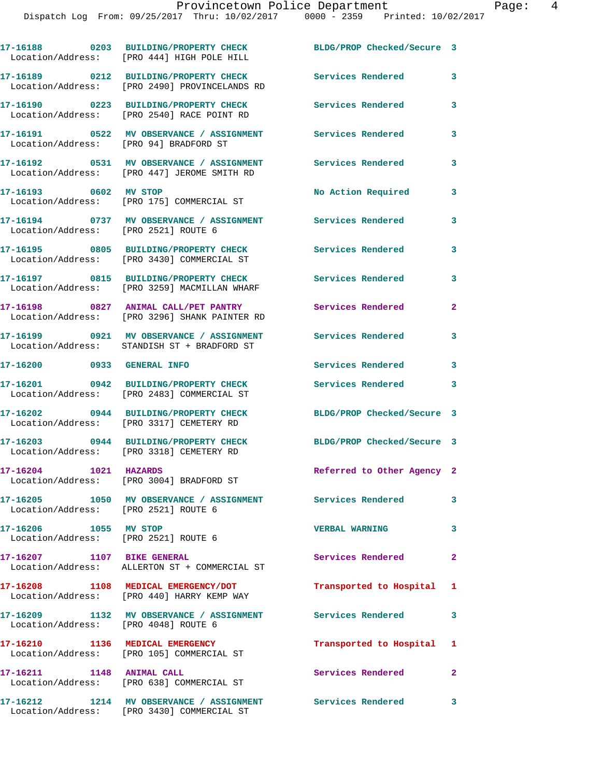|                                                               | 17-16188 0203 BUILDING/PROPERTY CHECK<br>Location/Address: [PRO 444] HIGH POLE HILL                  | BLDG/PROP Checked/Secure 3 |                |
|---------------------------------------------------------------|------------------------------------------------------------------------------------------------------|----------------------------|----------------|
|                                                               | 17-16189 0212 BUILDING/PROPERTY CHECK<br>Location/Address: [PRO 2490] PROVINCELANDS RD               | Services Rendered          | 3              |
|                                                               | Location/Address: [PRO 2540] RACE POINT RD                                                           | Services Rendered          | 3              |
|                                                               | 17-16191 0522 MV OBSERVANCE / ASSIGNMENT Services Rendered<br>Location/Address: [PRO 94] BRADFORD ST |                            | 3              |
|                                                               | 17-16192 0531 MV OBSERVANCE / ASSIGNMENT<br>Location/Address: [PRO 447] JEROME SMITH RD              | <b>Services Rendered</b>   | 3              |
| 17-16193 0602 MV STOP                                         | Location/Address: [PRO 175] COMMERCIAL ST                                                            | No Action Required         | 3              |
| Location/Address: [PRO 2521] ROUTE 6                          | 17-16194 0737 MV OBSERVANCE / ASSIGNMENT                                                             | Services Rendered          | 3              |
|                                                               | 17-16195 0805 BUILDING/PROPERTY CHECK<br>Location/Address: [PRO 3430] COMMERCIAL ST                  | Services Rendered          | 3              |
|                                                               | 17-16197 0815 BUILDING/PROPERTY CHECK<br>Location/Address: [PRO 3259] MACMILLAN WHARF                | Services Rendered          | 3              |
|                                                               | 17-16198 0827 ANIMAL CALL/PET PANTRY<br>Location/Address: [PRO 3296] SHANK PAINTER RD                | Services Rendered          | $\mathbf{2}$   |
|                                                               | 17-16199 0921 MV OBSERVANCE / ASSIGNMENT<br>Location/Address: STANDISH ST + BRADFORD ST              | Services Rendered          | 3              |
| 17-16200 0933 GENERAL INFO                                    |                                                                                                      | Services Rendered          | 3              |
| 17-16201                                                      | 0942 BUILDING/PROPERTY CHECK<br>Location/Address: [PRO 2483] COMMERCIAL ST                           | Services Rendered          | 3              |
|                                                               | 17-16202 0944 BUILDING/PROPERTY CHECK<br>Location/Address: [PRO 3317] CEMETERY RD                    | BLDG/PROP Checked/Secure 3 |                |
|                                                               | 17-16203 0944 BUILDING/PROPERTY CHECK<br>Location/Address: [PRO 3318] CEMETERY RD                    | BLDG/PROP Checked/Secure 3 |                |
| 17-16204 1021 HAZARDS                                         | Location/Address: [PRO 3004] BRADFORD ST                                                             | Referred to Other Agency 2 |                |
| Location/Address: [PRO 2521] ROUTE 6                          | 17-16205 1050 MV OBSERVANCE / ASSIGNMENT Services Rendered                                           |                            | 3              |
| 17-16206 1055 MV STOP<br>Location/Address: [PRO 2521] ROUTE 6 |                                                                                                      | <b>VERBAL WARNING</b>      | 3              |
| 17-16207 1107 BIKE GENERAL                                    | Location/Address: ALLERTON ST + COMMERCIAL ST                                                        | Services Rendered          | $\mathbf{2}$   |
|                                                               | 17-16208 1108 MEDICAL EMERGENCY/DOT<br>Location/Address: [PRO 440] HARRY KEMP WAY                    | Transported to Hospital    | $\mathbf{1}$   |
| Location/Address: [PRO 4048] ROUTE 6                          | 17-16209 1132 MV OBSERVANCE / ASSIGNMENT                                                             | Services Rendered          | $\mathbf{3}$   |
|                                                               | 17-16210 1136 MEDICAL EMERGENCY<br>Location/Address: [PRO 105] COMMERCIAL ST                         | Transported to Hospital 1  |                |
| 17-16211 1148 ANIMAL CALL                                     | Location/Address: [PRO 638] COMMERCIAL ST                                                            | Services Rendered          | $\overline{2}$ |
|                                                               | 17-16212 1214 MV OBSERVANCE / ASSIGNMENT Services Rendered 3                                         |                            |                |

Location/Address: [PRO 3430] COMMERCIAL ST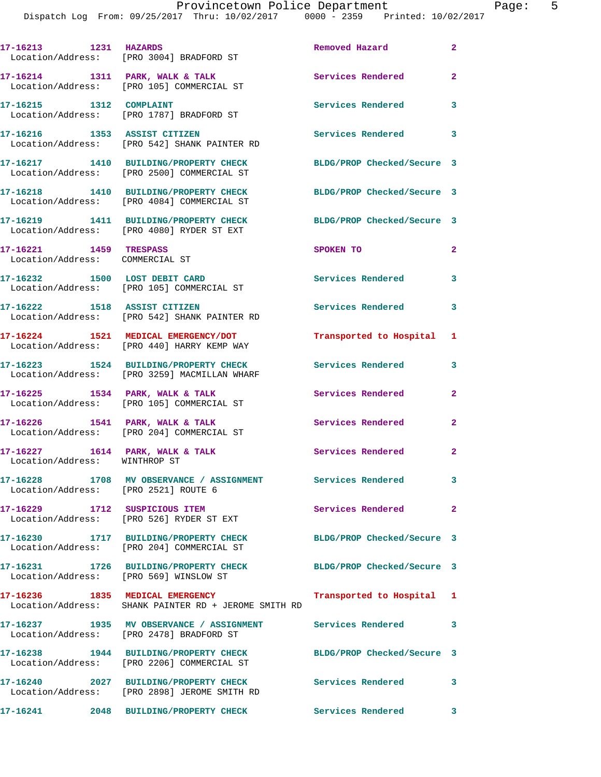| 17-16213 1231 HAZARDS                                     |                                                                                                           | Removed Hazard             | $\mathbf{2}$            |
|-----------------------------------------------------------|-----------------------------------------------------------------------------------------------------------|----------------------------|-------------------------|
|                                                           | Location/Address: [PRO 3004] BRADFORD ST                                                                  |                            |                         |
|                                                           | 17-16214 1311 PARK, WALK & TALK<br>Location/Address: [PRO 105] COMMERCIAL ST                              | <b>Services Rendered</b>   | $\overline{2}$          |
| 17-16215    1312    COMPLAINT                             | Location/Address: [PRO 1787] BRADFORD ST                                                                  | Services Rendered          | 3                       |
| 17-16216 1353 ASSIST CITIZEN                              | Location/Address: [PRO 542] SHANK PAINTER RD                                                              | Services Rendered 3        |                         |
|                                                           | 17-16217 1410 BUILDING/PROPERTY CHECK<br>Location/Address: [PRO 2500] COMMERCIAL ST                       | BLDG/PROP Checked/Secure 3 |                         |
|                                                           | 17-16218 1410 BUILDING/PROPERTY CHECK<br>Location/Address: [PRO 4084] COMMERCIAL ST                       | BLDG/PROP Checked/Secure 3 |                         |
|                                                           | 17-16219 1411 BUILDING/PROPERTY CHECK<br>Location/Address: [PRO 4080] RYDER ST EXT                        | BLDG/PROP Checked/Secure 3 |                         |
| 17-16221 1459 TRESPASS<br>Location/Address: COMMERCIAL ST |                                                                                                           | SPOKEN TO                  | $\mathbf{2}$            |
|                                                           | 17-16232 1500 LOST DEBIT CARD<br>Location/Address: [PRO 105] COMMERCIAL ST                                | <b>Services Rendered</b>   | $\overline{\mathbf{3}}$ |
| 17-16222 1518 ASSIST CITIZEN                              | Location/Address: [PRO 542] SHANK PAINTER RD                                                              | <b>Services Rendered</b>   | 3                       |
|                                                           | 17-16224 1521 MEDICAL EMERGENCY/DOT<br>Location/Address: [PRO 440] HARRY KEMP WAY                         | Transported to Hospital 1  |                         |
|                                                           | 17-16223 1524 BUILDING/PROPERTY CHECK<br>Location/Address: [PRO 3259] MACMILLAN WHARF                     | <b>Services Rendered</b>   | 3                       |
| $17 - 16225$ 1534 PARK, WALK & TALK                       | Location/Address: [PRO 105] COMMERCIAL ST                                                                 | <b>Services Rendered</b>   | $\mathbf{2}$            |
|                                                           | $17-16226$ $1541$ PARK, WALK & TALK<br>Location/Address: [PRO 204] COMMERCIAL ST                          | Services Rendered          | $\mathbf{2}$            |
| Location/Address: WINTHROP ST                             | $17-16227$ 1614 PARK, WALK & TALK                                                                         | Services Rendered          | $\mathbf{2}$            |
| Location/Address: [PRO 2521] ROUTE 6                      | 17-16228 1708 MV OBSERVANCE / ASSIGNMENT                                                                  | <b>Services Rendered</b>   | 3                       |
| 17-16229 1712 SUSPICIOUS ITEM                             | Location/Address: [PRO 526] RYDER ST EXT                                                                  | Services Rendered          | $\mathbf{2}$            |
|                                                           | 17-16230 1717 BUILDING/PROPERTY CHECK<br>Location/Address: [PRO 204] COMMERCIAL ST                        | BLDG/PROP Checked/Secure 3 |                         |
| Location/Address: [PRO 569] WINSLOW ST                    | 17-16231 1726 BUILDING/PROPERTY CHECK                                                                     | BLDG/PROP Checked/Secure 3 |                         |
|                                                           | 17-16236 1835 MEDICAL EMERGENCY<br>Location/Address: SHANK PAINTER RD + JEROME SMITH RD                   | Transported to Hospital 1  |                         |
|                                                           | 17-16237 1935 MV OBSERVANCE / ASSIGNMENT Services Rendered 3<br>Location/Address: [PRO 2478] BRADFORD ST  |                            |                         |
|                                                           | 17-16238 1944 BUILDING/PROPERTY CHECK<br>Location/Address: [PRO 2206] COMMERCIAL ST                       | BLDG/PROP Checked/Secure 3 |                         |
|                                                           | 17-16240 2027 BUILDING/PROPERTY CHECK Services Rendered 3<br>Location/Address: [PRO 2898] JEROME SMITH RD |                            |                         |
|                                                           | 17-16241 2048 BUILDING/PROPERTY CHECK Services Rendered                                                   |                            | 3                       |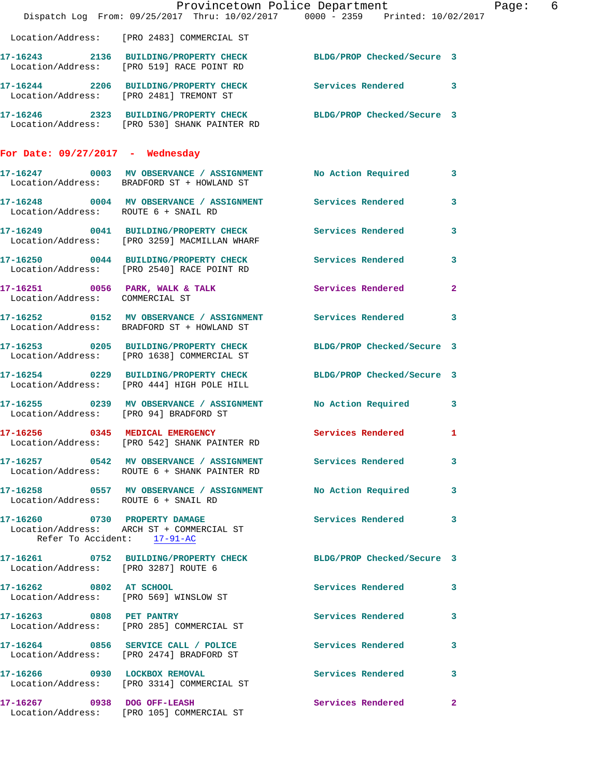|                                      |                                                                                                           | Provincetown Police Department<br>Dispatch Log From: 09/25/2017 Thru: 10/02/2017 0000 - 2359 Printed: 10/02/2017      | Page: 6        |
|--------------------------------------|-----------------------------------------------------------------------------------------------------------|-----------------------------------------------------------------------------------------------------------------------|----------------|
|                                      | Location/Address: [PRO 2483] COMMERCIAL ST                                                                |                                                                                                                       |                |
|                                      |                                                                                                           | 17-16243 2136 BUILDING/PROPERTY CHECK BLDG/PROP Checked/Secure 3<br>Location/Address: [PRO 519] RACE POINT RD         |                |
|                                      | Location/Address: [PRO 2481] TREMONT ST                                                                   | 17-16244 2206 BUILDING/PROPERTY CHECK Services Rendered 3                                                             |                |
|                                      | Location/Address: [PRO 530] SHANK PAINTER RD                                                              | 17-16246 2323 BUILDING/PROPERTY CHECK BLDG/PROP Checked/Secure 3                                                      |                |
| For Date: $09/27/2017$ - Wednesday   |                                                                                                           |                                                                                                                       |                |
|                                      | Location/Address: BRADFORD ST + HOWLAND ST                                                                | 17-16247 0003 MV OBSERVANCE / ASSIGNMENT No Action Required                                                           | $\mathbf{3}$   |
| Location/Address: ROUTE 6 + SNAIL RD |                                                                                                           | 17-16248 0004 MV OBSERVANCE / ASSIGNMENT Services Rendered                                                            | 3              |
|                                      | Location/Address: [PRO 3259] MACMILLAN WHARF                                                              | 17-16249 0041 BUILDING/PROPERTY CHECK Services Rendered                                                               | 3              |
|                                      | Location/Address: [PRO 2540] RACE POINT RD                                                                | 17-16250 0044 BUILDING/PROPERTY CHECK Services Rendered                                                               | 3              |
| Location/Address: COMMERCIAL ST      |                                                                                                           | 17-16251 0056 PARK, WALK & TALK 3 Services Rendered                                                                   | $\overline{2}$ |
|                                      |                                                                                                           | 17-16252     0152   MV OBSERVANCE / ASSIGNMENT      Services Rendered<br>Location/Address:   BRADFORD ST + HOWLAND ST | 3              |
|                                      | Location/Address: [PRO 1638] COMMERCIAL ST                                                                | 17-16253 0205 BUILDING/PROPERTY CHECK BLDG/PROP Checked/Secure 3                                                      |                |
|                                      |                                                                                                           | 17-16254 0229 BUILDING/PROPERTY CHECK BLDG/PROP Checked/Secure 3<br>Location/Address: [PRO 444] HIGH POLE HILL        |                |
|                                      | Location/Address: [PRO 94] BRADFORD ST                                                                    | 17-16255 0239 MV OBSERVANCE / ASSIGNMENT No Action Required 3                                                         |                |
|                                      | Location/Address: [PRO 542] SHANK PAINTER RD                                                              | 17-16256 0345 MEDICAL EMERGENCY Services Rendered 1                                                                   |                |
|                                      | Location/Address: ROUTE 6 + SHANK PAINTER RD                                                              | 17-16257 0542 MV OBSERVANCE / ASSIGNMENT Services Rendered                                                            | 3              |
| Location/Address: ROUTE 6 + SNAIL RD |                                                                                                           | 17-16258 0557 MV OBSERVANCE / ASSIGNMENT No Action Required                                                           | 3              |
|                                      | 17-16260 0730 PROPERTY DAMAGE<br>Location/Address: ARCH ST + COMMERCIAL ST<br>Refer To Accident: 17-91-AC | Services Rendered                                                                                                     | 3              |
| Location/Address: [PRO 3287] ROUTE 6 |                                                                                                           | 17-16261 0752 BUILDING/PROPERTY CHECK BLDG/PROP Checked/Secure 3                                                      |                |
| 17-16262 0802 AT SCHOOL              | Location/Address: [PRO 569] WINSLOW ST                                                                    | Services Rendered                                                                                                     | 3              |
|                                      | 17-16263 0808 PET PANTRY<br>Location/Address: [PRO 285] COMMERCIAL ST                                     | Services Rendered                                                                                                     | 3              |
|                                      | 17-16264 0856 SERVICE CALL / POLICE<br>Location/Address: [PRO 2474] BRADFORD ST                           | Services Rendered                                                                                                     | 3              |
|                                      | 17-16266 0930 LOCKBOX REMOVAL<br>Location/Address: [PRO 3314] COMMERCIAL ST                               | <b>Services Rendered</b>                                                                                              | 3              |
|                                      | 17-16267 0938 DOG OFF-LEASH<br>Location/Address: [PRO 105] COMMERCIAL ST                                  | Services Rendered                                                                                                     | -2             |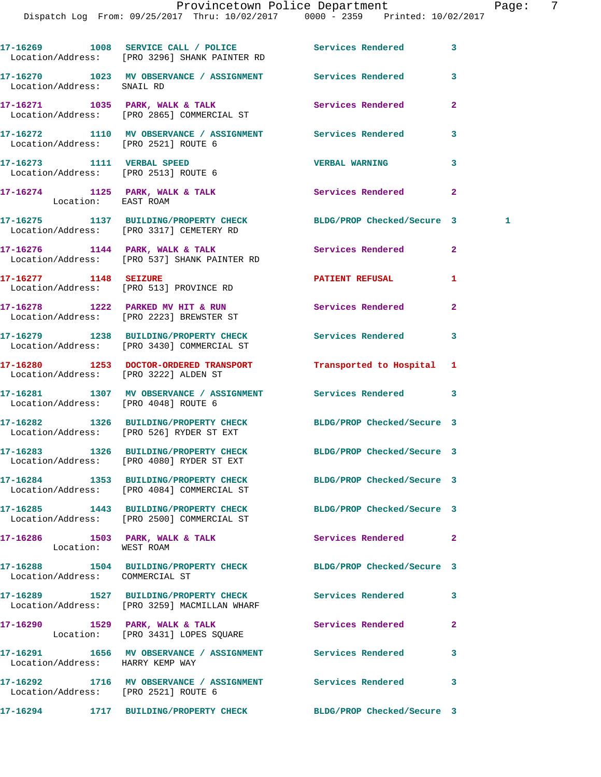|                                                                    | 17-16269 1008 SERVICE CALL / POLICE Services Rendered<br>Location/Address: [PRO 3296] SHANK PAINTER RD         |                            | 3              |
|--------------------------------------------------------------------|----------------------------------------------------------------------------------------------------------------|----------------------------|----------------|
| Location/Address: SNAIL RD                                         | 17-16270 1023 MV OBSERVANCE / ASSIGNMENT Services Rendered                                                     |                            | 3              |
|                                                                    | 17-16271 1035 PARK, WALK & TALK 1988 Services Rendered<br>Location/Address: [PRO 2865] COMMERCIAL ST           |                            | $\mathbf{2}$   |
| Location/Address: [PRO 2521] ROUTE 6                               | 17-16272 1110 MV OBSERVANCE / ASSIGNMENT Services Rendered                                                     |                            | 3              |
| 17-16273 1111 VERBAL SPEED<br>Location/Address: [PRO 2513] ROUTE 6 |                                                                                                                | <b>VERBAL WARNING</b>      | 3              |
| Location: EAST ROAM                                                | 17-16274 1125 PARK, WALK & TALK                                                                                | Services Rendered          | $\mathbf{2}$   |
|                                                                    | 17-16275 1137 BUILDING/PROPERTY CHECK BLDG/PROP Checked/Secure 3<br>Location/Address: [PRO 3317] CEMETERY RD   |                            | $\blacksquare$ |
|                                                                    | 17-16276 1144 PARK, WALK & TALK 1988 Services Rendered<br>Location/Address: [PRO 537] SHANK PAINTER RD         |                            | $\overline{2}$ |
|                                                                    | 17-16277 1148 SEIZURE<br>Location/Address: [PRO 513] PROVINCE RD                                               | <b>PATIENT REFUSAL</b>     | 1              |
|                                                                    | 17-16278 1222 PARKED MV HIT & RUN<br>Location/Address: [PRO 2223] BREWSTER ST                                  | Services Rendered          | $\overline{a}$ |
|                                                                    | 17-16279 1238 BUILDING/PROPERTY CHECK Services Rendered<br>Location/Address: [PRO 3430] COMMERCIAL ST          |                            | 3              |
| Location/Address: [PRO 3222] ALDEN ST                              | 17-16280 1253 DOCTOR-ORDERED TRANSPORT                                                                         | Transported to Hospital    | 1              |
| Location/Address: [PRO 4048] ROUTE 6                               | 17-16281 1307 MV OBSERVANCE / ASSIGNMENT Services Rendered                                                     |                            | 3              |
|                                                                    | 17-16282 1326 BUILDING/PROPERTY CHECK BLDG/PROP Checked/Secure 3<br>Location/Address: [PRO 526] RYDER ST EXT   |                            |                |
|                                                                    | 17-16283 1326 BUILDING/PROPERTY CHECK<br>Location/Address: [PRO 4080] RYDER ST EXT                             | BLDG/PROP Checked/Secure 3 |                |
|                                                                    | 17-16284 1353 BUILDING/PROPERTY CHECK BLDG/PROP Checked/Secure 3<br>Location/Address: [PRO 4084] COMMERCIAL ST |                            |                |
|                                                                    | 17-16285 1443 BUILDING/PROPERTY CHECK BLDG/PROP Checked/Secure 3<br>Location/Address: [PRO 2500] COMMERCIAL ST |                            |                |
| Location: WEST ROAM                                                | 17-16286 1503 PARK, WALK & TALK 1988 Services Rendered                                                         |                            | $\overline{2}$ |
| Location/Address: COMMERCIAL ST                                    | 17-16288 1504 BUILDING/PROPERTY CHECK BLDG/PROP Checked/Secure 3                                               |                            |                |
|                                                                    | 17-16289 1527 BUILDING/PROPERTY CHECK Services Rendered<br>Location/Address: [PRO 3259] MACMILLAN WHARF        |                            | 3              |
|                                                                    | 17-16290 1529 PARK, WALK & TALK<br>Location: [PRO 3431] LOPES SQUARE                                           | Services Rendered          | $\mathbf{2}$   |
| Location/Address: HARRY KEMP WAY                                   | 17-16291 1656 MV OBSERVANCE / ASSIGNMENT Services Rendered                                                     |                            | 3              |
| Location/Address: [PRO 2521] ROUTE 6                               | 17-16292 1716 MV OBSERVANCE / ASSIGNMENT Services Rendered                                                     |                            | 3              |
|                                                                    | 17-16294 1717 BUILDING/PROPERTY CHECK BLDG/PROP Checked/Secure 3                                               |                            |                |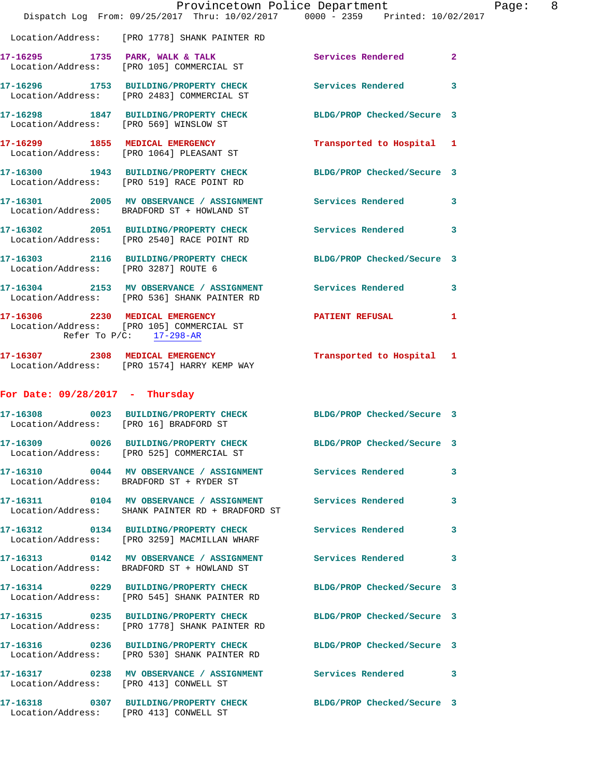|                                        | Provincetown Police Department<br>Dispatch Log From: 09/25/2017 Thru: 10/02/2017 0000 - 2359 Printed: 10/02/2017 |                            |                |
|----------------------------------------|------------------------------------------------------------------------------------------------------------------|----------------------------|----------------|
|                                        | Location/Address: [PRO 1778] SHANK PAINTER RD                                                                    |                            |                |
|                                        | 17-16295 1735 PARK, WALK & TALK<br>Location/Address: [PRO 105] COMMERCIAL ST                                     | Services Rendered          | $\overline{2}$ |
|                                        | 17-16296 1753 BUILDING/PROPERTY CHECK Services Rendered<br>Location/Address: [PRO 2483] COMMERCIAL ST            |                            | 3              |
| Location/Address: [PRO 569] WINSLOW ST | 17-16298 1847 BUILDING/PROPERTY CHECK                                                                            | BLDG/PROP Checked/Secure 3 |                |
|                                        | 17-16299 1855 MEDICAL EMERGENCY<br>Location/Address: [PRO 1064] PLEASANT ST                                      | Transported to Hospital    | 1              |
|                                        | 17-16300 1943 BUILDING/PROPERTY CHECK<br>Location/Address: [PRO 519] RACE POINT RD                               | BLDG/PROP Checked/Secure 3 |                |
|                                        | 17-16301 2005 MV OBSERVANCE / ASSIGNMENT Services Rendered<br>Location/Address: BRADFORD ST + HOWLAND ST         |                            | 3              |
|                                        | 17-16302 2051 BUILDING/PROPERTY CHECK Services Rendered<br>Location/Address: [PRO 2540] RACE POINT RD            |                            | 3              |
| Location/Address: [PRO 3287] ROUTE 6   | 17-16303 2116 BUILDING/PROPERTY CHECK BLDG/PROP Checked/Secure 3                                                 |                            |                |
|                                        | 17-16304 2153 MV OBSERVANCE / ASSIGNMENT Services Rendered<br>Location/Address: [PRO 536] SHANK PAINTER RD       |                            | 3              |
|                                        | 17-16306 2230 MEDICAL EMERGENCY<br>Location/Address: [PRO 105] COMMERCIAL ST<br>Refer To $P/C$ : 17-298-AR       | <b>PATIENT REFUSAL</b>     | 1              |
|                                        | 17-16307 2308 MEDICAL EMERGENCY<br>Location/Address: [PRO 1574] HARRY KEMP WAY                                   | Transported to Hospital 1  |                |
| For Date: $09/28/2017$ - Thursday      |                                                                                                                  |                            |                |
| Location/Address: [PRO 16] BRADFORD ST | 17-16308 0023 BUILDING/PROPERTY CHECK BLDG/PROP Checked/Secure 3                                                 |                            |                |
|                                        | 17-16309 0026 BUILDING/PROPERTY CHECK<br>Location/Address: [PRO 525] COMMERCIAL ST                               | BLDG/PROP Checked/Secure 3 |                |
|                                        | 17-16310 0044 MV OBSERVANCE / ASSIGNMENT Services Rendered<br>Location/Address: BRADFORD ST + RYDER ST           |                            | 3              |
|                                        | 17-16311 0104 MV OBSERVANCE / ASSIGNMENT Services Rendered<br>Location/Address: SHANK PAINTER RD + BRADFORD ST   |                            | 3              |
|                                        | 17-16312 0134 BUILDING/PROPERTY CHECK Services Rendered<br>Location/Address: [PRO 3259] MACMILLAN WHARF          |                            | 3              |
|                                        | 17-16313 0142 MV OBSERVANCE / ASSIGNMENT<br>Location/Address: BRADFORD ST + HOWLAND ST                           | <b>Services Rendered</b>   | 3              |
|                                        | 17-16314 0229 BUILDING/PROPERTY CHECK<br>Location/Address: [PRO 545] SHANK PAINTER RD                            | BLDG/PROP Checked/Secure 3 |                |
|                                        | 17-16315 0235 BUILDING/PROPERTY CHECK<br>Location/Address: [PRO 1778] SHANK PAINTER RD                           | BLDG/PROP Checked/Secure 3 |                |
|                                        | 17-16316 0236 BUILDING/PROPERTY CHECK<br>Location/Address: [PRO 530] SHANK PAINTER RD                            | BLDG/PROP Checked/Secure 3 |                |
| Location/Address: [PRO 413] CONWELL ST | 17-16317 0238 MV OBSERVANCE / ASSIGNMENT Services Rendered                                                       |                            | 3              |
| Location/Address: [PRO 413] CONWELL ST | 17-16318 0307 BUILDING/PROPERTY CHECK                                                                            | BLDG/PROP Checked/Secure 3 |                |

Page:  $8$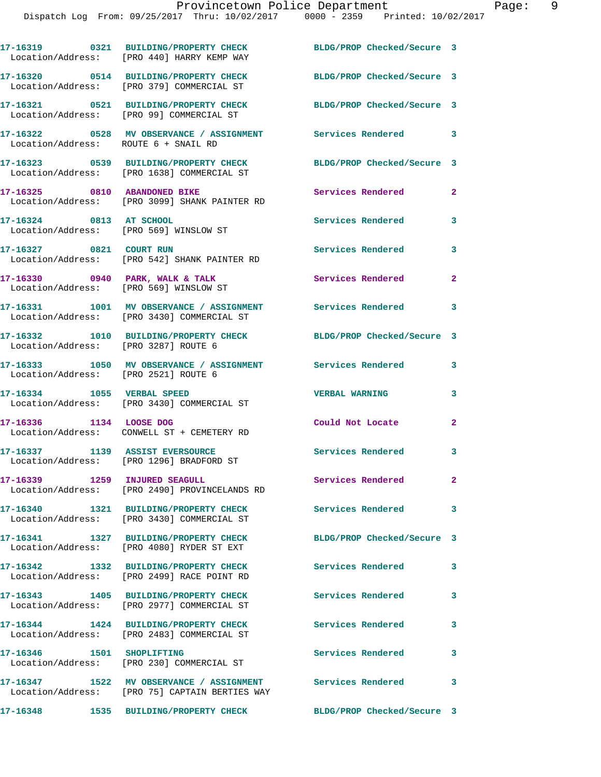Dispatch Log From: 09/25/2017 Thru: 10/02/2017 0000 - 2359 Printed: 10/02/2017

**17-16319 0321 BUILDING/PROPERTY CHECK BLDG/PROP Checked/Secure 3**  Location/Address: [PRO 440] HARRY KEMP WAY **17-16320 0514 BUILDING/PROPERTY CHECK BLDG/PROP Checked/Secure 3**  Location/Address: [PRO 379] COMMERCIAL ST **17-16321 0521 BUILDING/PROPERTY CHECK BLDG/PROP Checked/Secure 3**  Location/Address: [PRO 99] COMMERCIAL ST **17-16322 0528 MV OBSERVANCE / ASSIGNMENT Services Rendered 3**  Location/Address: ROUTE 6 + SNAIL RD **17-16323 0539 BUILDING/PROPERTY CHECK BLDG/PROP Checked/Secure 3**  Location/Address: [PRO 1638] COMMERCIAL ST 17-16325 0810 ABANDONED BIKE Services Rendered 2 Location/Address: [PRO 3099] SHANK PAINTER RD **17-16324 0813 AT SCHOOL Services Rendered 3**  Location/Address: [PRO 569] WINSLOW ST **17-16327 0821 COURT RUN Services Rendered 3**  Location/Address: [PRO 542] SHANK PAINTER RD **17-16330 0940 PARK, WALK & TALK Services Rendered 2**  Location/Address: [PRO 569] WINSLOW ST **17-16331 1001 MV OBSERVANCE / ASSIGNMENT Services Rendered 3**  Location/Address: [PRO 3430] COMMERCIAL ST **17-16332 1010 BUILDING/PROPERTY CHECK BLDG/PROP Checked/Secure 3**  Location/Address: [PRO 3287] ROUTE 6 **17-16333 1050 MV OBSERVANCE / ASSIGNMENT Services Rendered 3**  Location/Address: [PRO 2521] ROUTE 6 **17-16334 1055 VERBAL SPEED VERBAL WARNING 3**  Location/Address: [PRO 3430] COMMERCIAL ST **17-16336 1134 LOOSE DOG Could Not Locate 2**  Location/Address: CONWELL ST + CEMETERY RD 17-16337 1139 ASSIST EVERSOURCE **1158** Services Rendered 3 Location/Address: [PRO 1296] BRADFORD ST **17-16339 1259 INJURED SEAGULL Services Rendered 2**  Location/Address: [PRO 2490] PROVINCELANDS RD **17-16340 1321 BUILDING/PROPERTY CHECK Services Rendered 3**  Location/Address: [PRO 3430] COMMERCIAL ST **17-16341 1327 BUILDING/PROPERTY CHECK BLDG/PROP Checked/Secure 3**  Location/Address: [PRO 4080] RYDER ST EXT **17-16342 1332 BUILDING/PROPERTY CHECK Services Rendered 3**  Location/Address: [PRO 2499] RACE POINT RD **17-16343 1405 BUILDING/PROPERTY CHECK Services Rendered 3**  Location/Address: [PRO 2977] COMMERCIAL ST **17-16344 1424 BUILDING/PROPERTY CHECK Services Rendered 3**  Location/Address: [PRO 2483] COMMERCIAL ST **17-16346 1501 SHOPLIFTING Services Rendered 3**  Location/Address: [PRO 230] COMMERCIAL ST **17-16347 1522 MV OBSERVANCE / ASSIGNMENT Services Rendered 3**  Location/Address: [PRO 75] CAPTAIN BERTIES WAY

**17-16348 1535 BUILDING/PROPERTY CHECK BLDG/PROP Checked/Secure 3**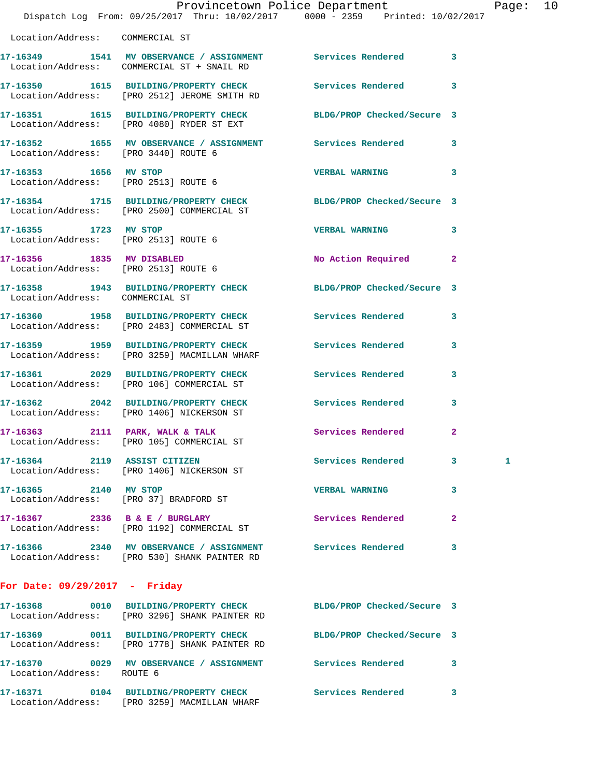|                                      | Dispatch Log From: 09/25/2017 Thru: 10/02/2017 0000 - 2359 Printed: 10/02/2017                                    | Provincetown Police Department |              | Page: 10 |  |
|--------------------------------------|-------------------------------------------------------------------------------------------------------------------|--------------------------------|--------------|----------|--|
| Location/Address: COMMERCIAL ST      |                                                                                                                   |                                |              |          |  |
|                                      | 17-16349 1541 MV OBSERVANCE / ASSIGNMENT Services Rendered 3<br>Location/Address: COMMERCIAL ST + SNAIL RD        |                                |              |          |  |
|                                      | 17-16350 1615 BUILDING/PROPERTY CHECK Services Rendered 3<br>Location/Address: [PRO 2512] JEROME SMITH RD         |                                |              |          |  |
|                                      | 17-16351 1615 BUILDING/PROPERTY CHECK BLDG/PROP Checked/Secure 3<br>Location/Address: [PRO 4080] RYDER ST EXT     |                                |              |          |  |
| Location/Address: [PRO 3440] ROUTE 6 | 17-16352 1655 MV OBSERVANCE / ASSIGNMENT Services Rendered 3                                                      |                                |              |          |  |
| 17-16353 1656 MV STOP                | Location/Address: [PRO 2513] ROUTE 6                                                                              | VERBAL WARNING 3               |              |          |  |
|                                      | 17-16354 1715 BUILDING/PROPERTY CHECK BLDG/PROP Checked/Secure 3<br>Location/Address: [PRO 2500] COMMERCIAL ST    |                                |              |          |  |
| 17-16355 1723 MV STOP                | Location/Address: [PRO 2513] ROUTE 6                                                                              | VERBAL WARNING 3               |              |          |  |
| Location/Address: [PRO 2513] ROUTE 6 | 17-16356 1835 MV DISABLED                                                                                         | No Action Required 2           |              |          |  |
| Location/Address: COMMERCIAL ST      | 17-16358 1943 BUILDING/PROPERTY CHECK BLDG/PROP Checked/Secure 3                                                  |                                |              |          |  |
|                                      | 17-16360 1958 BUILDING/PROPERTY CHECK Services Rendered 3<br>Location/Address: [PRO 2483] COMMERCIAL ST           |                                |              |          |  |
|                                      | 17-16359 1959 BUILDING/PROPERTY CHECK Services Rendered<br>Location/Address: [PRO 3259] MACMILLAN WHARF           |                                | 3            |          |  |
|                                      | 17-16361 2029 BUILDING/PROPERTY CHECK Services Rendered<br>Location/Address: [PRO 106] COMMERCIAL ST              |                                | $\mathbf{3}$ |          |  |
|                                      | 17-16362 2042 BUILDING/PROPERTY CHECK Services Rendered<br>Location/Address: [PRO 1406] NICKERSON ST              |                                | $\mathbf{3}$ |          |  |
|                                      | 17-16363 2111 PARK, WALK & TALK<br>Location/Address: [PRO 105] COMMERCIAL ST                                      | Services Rendered              | 2            |          |  |
| 17-16364 2119 ASSIST CITIZEN         | Location/Address: [PRO 1406] NICKERSON ST                                                                         | Services Rendered 3            |              | 1        |  |
| 17-16365 2140 MV STOP                | Location/Address: [PRO 37] BRADFORD ST                                                                            | <b>VERBAL WARNING</b>          | 3            |          |  |
|                                      | 17-16367 2336 B & E / BURGLARY<br>Location/Address: [PRO 1192] COMMERCIAL ST                                      | Services Rendered              | $\mathbf{2}$ |          |  |
|                                      | 17-16366 2340 MV OBSERVANCE / ASSIGNMENT Services Rendered<br>Location/Address: [PRO 530] SHANK PAINTER RD        |                                | 3            |          |  |
| For Date: $09/29/2017$ - Friday      |                                                                                                                   |                                |              |          |  |
|                                      | 17-16368 0010 BUILDING/PROPERTY CHECK BLDG/PROP Checked/Secure 3<br>Location/Address: [PRO 3296] SHANK PAINTER RD |                                |              |          |  |
|                                      | 17-16369 0011 BUILDING/PROPERTY CHECK<br>Location/Address: [PRO 1778] SHANK PAINTER RD                            | BLDG/PROP Checked/Secure 3     |              |          |  |

**17-16370 0029 MV OBSERVANCE / ASSIGNMENT Services Rendered 3**  Location/Address: ROUTE 6

**17-16371 0104 BUILDING/PROPERTY CHECK Services Rendered 3**  Location/Address: [PRO 3259] MACMILLAN WHARF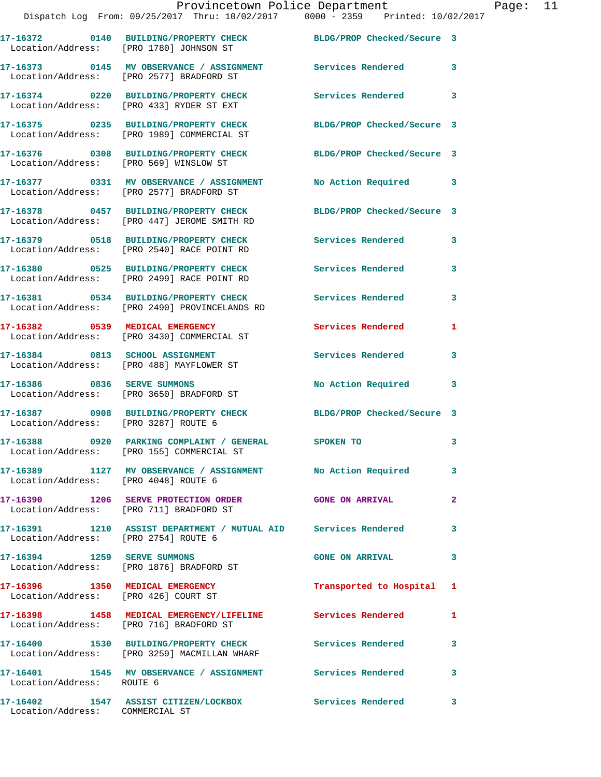|                                      | 17-16372 0140 BUILDING/PROPERTY CHECK<br>Location/Address: [PRO 1780] JOHNSON ST                      | BLDG/PROP Checked/Secure 3 |              |
|--------------------------------------|-------------------------------------------------------------------------------------------------------|----------------------------|--------------|
|                                      | 17-16373 0145 MV OBSERVANCE / ASSIGNMENT<br>Location/Address: [PRO 2577] BRADFORD ST                  | <b>Services Rendered</b>   | 3            |
| Location/Address:                    | 17-16374 0220 BUILDING/PROPERTY CHECK<br>[PRO 433] RYDER ST EXT                                       | <b>Services Rendered</b>   | 3            |
|                                      | 17-16375 0235 BUILDING/PROPERTY CHECK<br>Location/Address: [PRO 1989] COMMERCIAL ST                   | BLDG/PROP Checked/Secure 3 |              |
|                                      | 17-16376 0308 BUILDING/PROPERTY CHECK<br>Location/Address: [PRO 569] WINSLOW ST                       | BLDG/PROP Checked/Secure 3 |              |
|                                      | 17-16377 0331 MV OBSERVANCE / ASSIGNMENT<br>Location/Address: [PRO 2577] BRADFORD ST                  | No Action Required 3       |              |
|                                      | 17-16378 0457 BUILDING/PROPERTY CHECK<br>Location/Address: [PRO 447] JEROME SMITH RD                  | BLDG/PROP Checked/Secure 3 |              |
|                                      | 17-16379 0518 BUILDING/PROPERTY CHECK<br>Location/Address: [PRO 2540] RACE POINT RD                   | Services Rendered          | 3            |
|                                      | 17-16380 0525 BUILDING/PROPERTY CHECK<br>Location/Address: [PRO 2499] RACE POINT RD                   | Services Rendered          | 3            |
|                                      | 17-16381 0534 BUILDING/PROPERTY CHECK<br>Location/Address: [PRO 2490] PROVINCELANDS RD                | Services Rendered          | 3            |
|                                      | 17-16382 0539 MEDICAL EMERGENCY<br>Location/Address: [PRO 3430] COMMERCIAL ST                         | Services Rendered          | 1            |
| 17-16384 0813 SCHOOL ASSIGNMENT      | Location/Address: [PRO 488] MAYFLOWER ST                                                              | Services Rendered          | 3            |
|                                      | 17-16386 0836 SERVE SUMMONS<br>Location/Address: [PRO 3650] BRADFORD ST                               | No Action Required         | 3            |
| Location/Address: [PRO 3287] ROUTE 6 | 17-16387 0908 BUILDING/PROPERTY CHECK                                                                 | BLDG/PROP Checked/Secure 3 |              |
|                                      | 17-16388 6920 PARKING COMPLAINT / GENERAL SPOKEN TO<br>Location/Address: [PRO 155] COMMERCIAL ST      |                            | 3            |
| Location/Address: [PRO 4048] ROUTE 6 | 17-16389 1127 MV OBSERVANCE / ASSIGNMENT No Action Required                                           |                            |              |
|                                      | 17-16390 1206 SERVE PROTECTION ORDER GONE ON ARRIVAL<br>Location/Address: [PRO 711] BRADFORD ST       |                            | $\mathbf{2}$ |
| Location/Address: [PRO 2754] ROUTE 6 | 17-16391 1210 ASSIST DEPARTMENT / MUTUAL AID Services Rendered                                        |                            | 3            |
|                                      | 17-16394 1259 SERVE SUMMONS<br>Location/Address: [PRO 1876] BRADFORD ST                               | <b>GONE ON ARRIVAL</b>     | 3            |
|                                      | 17-16396 1350 MEDICAL EMERGENCY<br>Location/Address: [PRO 426] COURT ST                               | Transported to Hospital 1  |              |
|                                      | 17-16398 1458 MEDICAL EMERGENCY/LIFELINE Services Rendered<br>Location/Address: [PRO 716] BRADFORD ST |                            | 1            |
|                                      | 17-16400 1530 BUILDING/PROPERTY CHECK<br>Location/Address: [PRO 3259] MACMILLAN WHARF                 | Services Rendered          | 3            |
| Location/Address: ROUTE 6            | 17-16401 1545 MV OBSERVANCE / ASSIGNMENT Services Rendered                                            |                            | 3            |
|                                      | 17-16402 1547 ASSIST CITIZEN/LOCKBOX                                                                  | Services Rendered 3        |              |

Location/Address: COMMERCIAL ST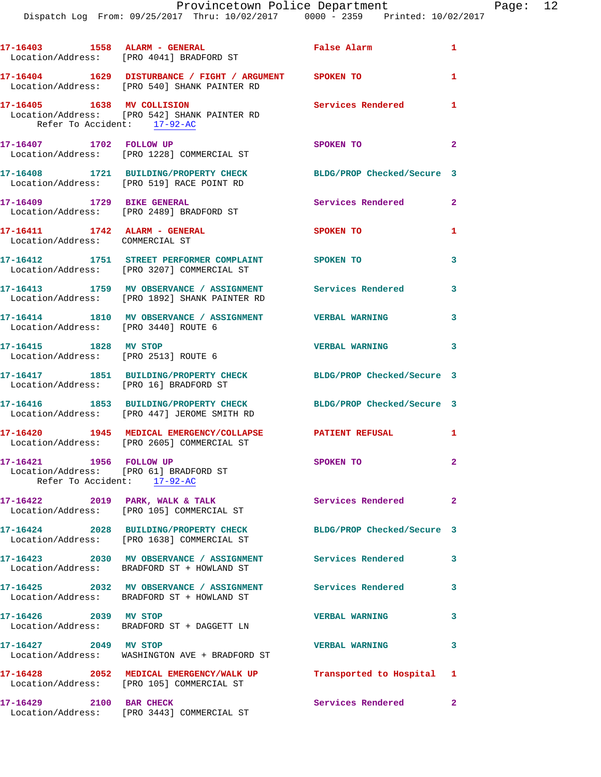|                                                                  | 17-16403 1558 ALARM - GENERAL<br>Location/Address: [PRO 4041] BRADFORD ST                                   | <b>False Alarm</b>         | $\mathbf{1}$   |
|------------------------------------------------------------------|-------------------------------------------------------------------------------------------------------------|----------------------------|----------------|
|                                                                  | 17-16404 1629 DISTURBANCE / FIGHT / ARGUMENT SPOKEN TO<br>Location/Address: [PRO 540] SHANK PAINTER RD      |                            | $\mathbf{1}$   |
| 17-16405 1638 MV COLLISION<br>Refer To Accident: 17-92-AC        | Location/Address: [PRO 542] SHANK PAINTER RD                                                                | Services Rendered 1        |                |
| 17-16407 1702 FOLLOW UP                                          | Location/Address: [PRO 1228] COMMERCIAL ST                                                                  | SPOKEN TO                  | $\overline{2}$ |
|                                                                  | 17-16408 1721 BUILDING/PROPERTY CHECK<br>Location/Address: [PRO 519] RACE POINT RD                          | BLDG/PROP Checked/Secure 3 |                |
| 17-16409 1729 BIKE GENERAL                                       | Location/Address: [PRO 2489] BRADFORD ST                                                                    | <b>Services Rendered</b>   | $\mathbf{2}$   |
| 17-16411 1742 ALARM - GENERAL<br>Location/Address: COMMERCIAL ST |                                                                                                             | <b>SPOKEN TO</b>           | 1              |
|                                                                  | 17-16412 1751 STREET PERFORMER COMPLAINT SPOKEN TO<br>Location/Address: [PRO 3207] COMMERCIAL ST            |                            | 3              |
|                                                                  | 17-16413 1759 MV OBSERVANCE / ASSIGNMENT Services Rendered<br>Location/Address: [PRO 1892] SHANK PAINTER RD |                            | 3              |
| Location/Address: [PRO 3440] ROUTE 6                             | 17-16414 1810 MV OBSERVANCE / ASSIGNMENT VERBAL WARNING                                                     |                            | 3              |
| 17-16415 1828 MV STOP                                            | Location/Address: [PRO 2513] ROUTE 6                                                                        | <b>VERBAL WARNING</b>      | 3              |
| Location/Address: [PRO 16] BRADFORD ST                           | 17-16417 1851 BUILDING/PROPERTY CHECK                                                                       | BLDG/PROP Checked/Secure 3 |                |
|                                                                  | 17-16416 1853 BUILDING/PROPERTY CHECK<br>Location/Address: [PRO 447] JEROME SMITH RD                        | BLDG/PROP Checked/Secure 3 |                |
|                                                                  | 17-16420 1945 MEDICAL EMERGENCY/COLLAPSE PATIENT REFUSAL<br>Location/Address: [PRO 2605] COMMERCIAL ST      |                            | 1              |
| 17-16421 1956 FOLLOW UP<br>Refer To Accident: 17-92-AC           | Location/Address: [PRO 61] BRADFORD ST                                                                      | SPOKEN TO                  | $\mathbf{2}$   |
|                                                                  | 17-16422 2019 PARK, WALK & TALK<br>Location/Address: [PRO 105] COMMERCIAL ST                                | Services Rendered          | $\mathbf{2}$   |
|                                                                  | 17-16424 2028 BUILDING/PROPERTY CHECK<br>Location/Address: [PRO 1638] COMMERCIAL ST                         | BLDG/PROP Checked/Secure 3 |                |
|                                                                  | 17-16423 2030 MV OBSERVANCE / ASSIGNMENT Services Rendered<br>Location/Address: BRADFORD ST + HOWLAND ST    |                            | 3              |
|                                                                  | 17-16425 2032 MV OBSERVANCE / ASSIGNMENT Services Rendered<br>Location/Address: BRADFORD ST + HOWLAND ST    |                            | 3              |
| 17-16426 2039 MV STOP                                            | Location/Address: BRADFORD ST + DAGGETT LN                                                                  | <b>VERBAL WARNING</b>      | 3              |
| 17-16427 2049 MV STOP                                            | Location/Address: WASHINGTON AVE + BRADFORD ST                                                              | <b>VERBAL WARNING</b>      | 3              |
|                                                                  | 17-16428 2052 MEDICAL EMERGENCY/WALK UP<br>Location/Address: [PRO 105] COMMERCIAL ST                        | Transported to Hospital 1  |                |
| 17-16429 2100 BAR CHECK                                          | Location/Address: [PRO 3443] COMMERCIAL ST                                                                  | Services Rendered          | $\mathbf{2}$   |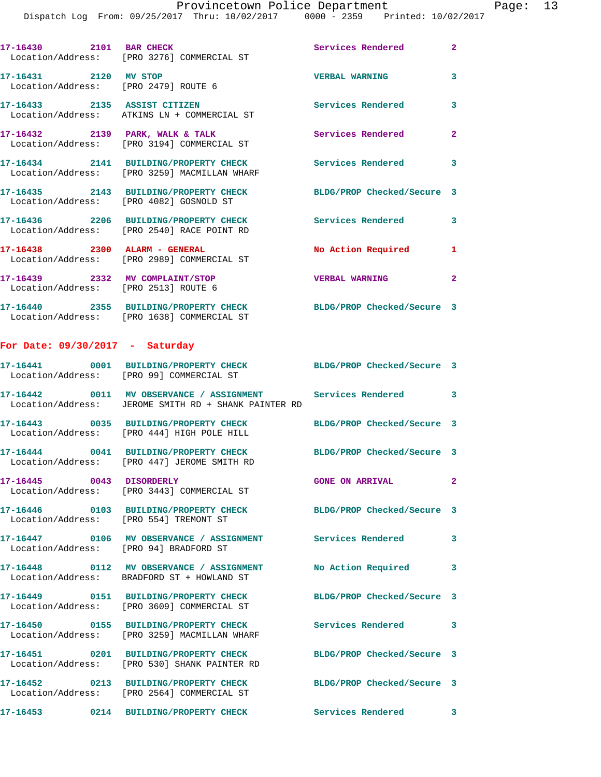| 17-16430<br>2101                                         | <b>BAR CHECK</b><br>Location/Address: [PRO 3276] COMMERCIAL ST          | Services Rendered          | $\overline{2}$ |
|----------------------------------------------------------|-------------------------------------------------------------------------|----------------------------|----------------|
| 2120<br>17–16431<br>Location/Address: [PRO 2479] ROUTE 6 | MV STOP                                                                 | <b>VERBAL WARNING</b>      | 3              |
| 17-16433<br>2135                                         | <b>ASSIST CITIZEN</b><br>Location/Address: ATKINS LN + COMMERCIAL ST    | Services Rendered          | 3              |
| 17-16432 2139                                            | PARK, WALK & TALK<br>Location/Address: [PRO 3194] COMMERCIAL ST         | Services Rendered          | $\mathbf{2}$   |
| 2141<br>17-16434                                         | BUILDING/PROPERTY CHECK<br>Location/Address: [PRO 3259] MACMILLAN WHARF | Services Rendered          | 3              |
| 2143<br>17-16435                                         | <b>BUILDING/PROPERTY CHECK</b>                                          | BLDG/PROP Checked/Secure 3 |                |

 Location/Address: [PRO 4082] GOSNOLD ST **17-16436 2206 BUILDING/PROPERTY CHECK Services Rendered 3**  Location/Address: [PRO 2540] RACE POINT RD **17-16438 2300 ALARM - GENERAL No Action Required 1**  Location/Address: [PRO 2989] COMMERCIAL ST **17-16439 2332 MV COMPLAINT/STOP VERBAL WARNING 2**  Location/Address: [PRO 2513] ROUTE 6

**17-16440 2355 BUILDING/PROPERTY CHECK BLDG/PROP Checked/Secure 3**  Location/Address: [PRO 1638] COMMERCIAL ST

## **For Date: 09/30/2017 - Saturday**

|                                               | Location/Address: [PRO 99] COMMERCIAL ST                                                         | BLDG/PROP Checked/Secure 3 |              |
|-----------------------------------------------|--------------------------------------------------------------------------------------------------|----------------------------|--------------|
| Location/Address:                             | 17-16442 0011 MV OBSERVANCE / ASSIGNMENT Services Rendered<br>JEROME SMITH RD + SHANK PAINTER RD |                            | $\mathbf{3}$ |
| Location/Address:                             | 17-16443 0035 BUILDING/PROPERTY CHECK<br>[PRO 444] HIGH POLE HILL                                | BLDG/PROP Checked/Secure 3 |              |
| Location/Address:                             | 17-16444  0041 BUILDING/PROPERTY CHECK<br>[PRO 447] JEROME SMITH RD                              | BLDG/PROP Checked/Secure 3 |              |
| 17-16445 0043 DISORDERLY<br>Location/Address: | [PRO 3443] COMMERCIAL ST                                                                         | <b>GONE ON ARRIVAL</b>     | $\mathbf{2}$ |
| Location/Address:                             | 17-16446 0103 BUILDING/PROPERTY CHECK<br>[PRO 554] TREMONT ST                                    | BLDG/PROP Checked/Secure 3 |              |
| Location/Address:                             | 17-16447  0106 MV OBSERVANCE / ASSIGNMENT<br>[PRO 94] BRADFORD ST                                | <b>Services Rendered</b>   | 3            |
|                                               | Location/Address: BRADFORD ST + HOWLAND ST                                                       | No Action Required         | 3            |
| Location/Address:                             | 17-16449 0151 BUILDING/PROPERTY CHECK<br>[PRO 3609] COMMERCIAL ST                                | BLDG/PROP Checked/Secure 3 |              |
| Location/Address:                             | 17-16450 0155 BUILDING/PROPERTY CHECK<br>[PRO 3259] MACMILLAN WHARF                              | <b>Services Rendered</b>   | 3            |
| Location/Address:                             | 17-16451 0201 BUILDING/PROPERTY CHECK<br>[PRO 530] SHANK PAINTER RD                              | BLDG/PROP Checked/Secure 3 |              |
| Location/Address:                             | 17-16452 0213 BUILDING/PROPERTY CHECK<br>[PRO 2564] COMMERCIAL ST                                | BLDG/PROP Checked/Secure 3 |              |
| 17-16453                                      | 0214 BUILDING/PROPERTY CHECK                                                                     | Services Rendered          | 3            |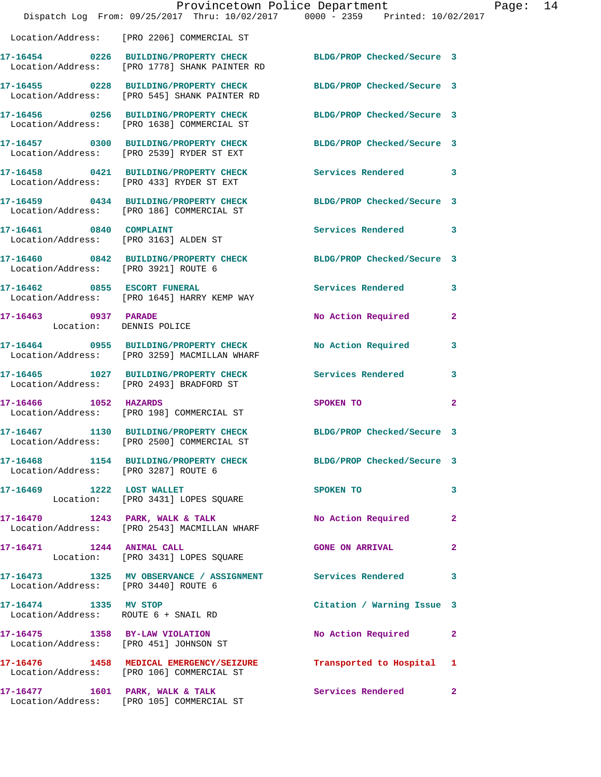|                                                 | Dispatch Log From: 09/25/2017 Thru: 10/02/2017 0000 - 2359 Printed: 10/02/2017                                    | Provincetown Police Department |              | Page: 14 |  |
|-------------------------------------------------|-------------------------------------------------------------------------------------------------------------------|--------------------------------|--------------|----------|--|
|                                                 | Location/Address: [PRO 2206] COMMERCIAL ST                                                                        |                                |              |          |  |
|                                                 | 17-16454 0226 BUILDING/PROPERTY CHECK BLDG/PROP Checked/Secure 3<br>Location/Address: [PRO 1778] SHANK PAINTER RD |                                |              |          |  |
|                                                 | 17-16455 0228 BUILDING/PROPERTY CHECK BLDG/PROP Checked/Secure 3<br>Location/Address: [PRO 545] SHANK PAINTER RD  |                                |              |          |  |
|                                                 | 17-16456 0256 BUILDING/PROPERTY CHECK BLDG/PROP Checked/Secure 3<br>Location/Address: [PRO 1638] COMMERCIAL ST    |                                |              |          |  |
|                                                 | 17-16457 0300 BUILDING/PROPERTY CHECK BLDG/PROP Checked/Secure 3<br>Location/Address: [PRO 2539] RYDER ST EXT     |                                |              |          |  |
|                                                 | 17-16458 0421 BUILDING/PROPERTY CHECK<br>Location/Address: [PRO 433] RYDER ST EXT                                 | Services Rendered 3            |              |          |  |
|                                                 | 17-16459 0434 BUILDING/PROPERTY CHECK<br>Location/Address: [PRO 186] COMMERCIAL ST                                | BLDG/PROP Checked/Secure 3     |              |          |  |
| 17-16461 0840 COMPLAINT                         | Location/Address: [PRO 3163] ALDEN ST                                                                             | Services Rendered              | $\mathbf{3}$ |          |  |
| Location/Address: [PRO 3921] ROUTE 6            | 17-16460 0842 BUILDING/PROPERTY CHECK BLDG/PROP Checked/Secure 3                                                  |                                |              |          |  |
|                                                 | 17-16462 0855 ESCORT FUNERAL<br>Location/Address: [PRO 1645] HARRY KEMP WAY                                       | Services Rendered              | 3            |          |  |
| 17-16463 0937 PARADE<br>Location: DENNIS POLICE |                                                                                                                   | No Action Required             | $\mathbf{2}$ |          |  |
|                                                 | 17-16464 0955 BUILDING/PROPERTY CHECK<br>Location/Address: [PRO 3259] MACMILLAN WHARF                             | <b>No Action Required</b>      | 3            |          |  |
|                                                 | 17-16465 1027 BUILDING/PROPERTY CHECK Services Rendered<br>Location/Address: [PRO 2493] BRADFORD ST               |                                | $\mathbf{3}$ |          |  |
| 17-16466 1052 HAZARDS                           | Location/Address: [PRO 198] COMMERCIAL ST                                                                         | SPOKEN TO                      | $\mathbf{2}$ |          |  |
|                                                 | 17-16467 1130 BUILDING/PROPERTY CHECK<br>Location/Address: [PRO 2500] COMMERCIAL ST                               | BLDG/PROP Checked/Secure 3     |              |          |  |
| Location/Address: [PRO 3287] ROUTE 6            | 17-16468 1154 BUILDING/PROPERTY CHECK BLDG/PROP Checked/Secure 3                                                  |                                |              |          |  |
|                                                 | 17-16469 1222 LOST WALLET<br>Location: [PRO 3431] LOPES SQUARE                                                    | SPOKEN TO                      | 3            |          |  |
|                                                 | 17-16470 1243 PARK, WALK & TALK NO Action Required<br>Location/Address: [PRO 2543] MACMILLAN WHARF                |                                | $\mathbf{2}$ |          |  |
|                                                 | 17-16471 1244 ANIMAL CALL<br>Location: [PRO 3431] LOPES SQUARE                                                    | <b>GONE ON ARRIVAL</b>         | $\mathbf{2}$ |          |  |
| Location/Address: [PRO 3440] ROUTE 6            | 17-16473 1325 MV OBSERVANCE / ASSIGNMENT Services Rendered                                                        |                                | 3            |          |  |
| 17-16474 1335 MV STOP                           | Location/Address: ROUTE 6 + SNAIL RD                                                                              | Citation / Warning Issue 3     |              |          |  |
|                                                 | 17-16475 1358 BY-LAW VIOLATION<br>Location/Address: [PRO 451] JOHNSON ST                                          | No Action Required 2           |              |          |  |
|                                                 | 17-16476 1458 MEDICAL EMERGENCY/SEIZURE Transported to Hospital 1<br>Location/Address: [PRO 106] COMMERCIAL ST    |                                |              |          |  |
|                                                 | 17-16477 1601 PARK, WALK & TALK<br>Location/Address: [PRO 105] COMMERCIAL ST                                      | Services Rendered              | $\mathbf{2}$ |          |  |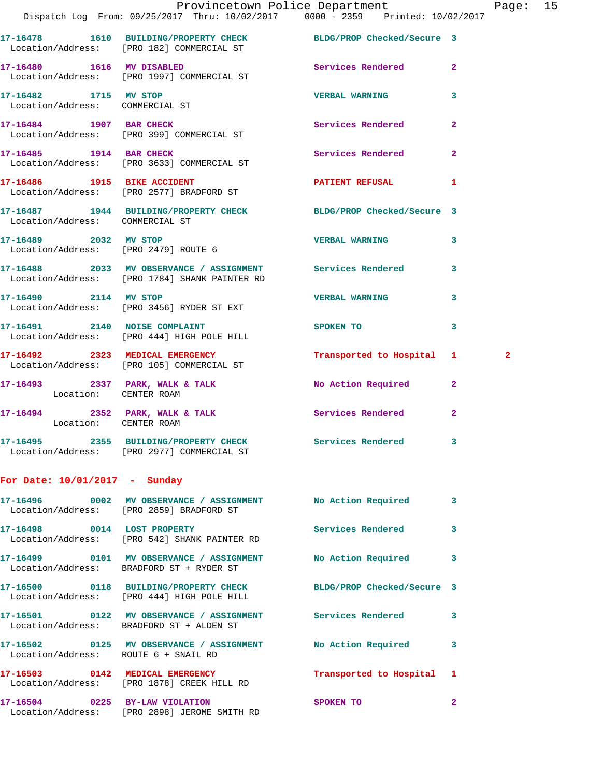|                                                          | Provincetown Police Department<br>Dispatch Log From: 09/25/2017 Thru: 10/02/2017 0000 - 2359 Printed: 10/02/2017 |                           |                | Pag          |
|----------------------------------------------------------|------------------------------------------------------------------------------------------------------------------|---------------------------|----------------|--------------|
|                                                          | 17-16478 1610 BUILDING/PROPERTY CHECK BLDG/PROP Checked/Secure 3<br>Location/Address: [PRO 182] COMMERCIAL ST    |                           |                |              |
|                                                          | 17-16480   1616 MV DISABLED<br>Location/Address: [PRO 1997] COMMERCIAL ST                                        | Services Rendered         | $\overline{a}$ |              |
| 17-16482 1715 MV STOP<br>Location/Address: COMMERCIAL ST |                                                                                                                  | <b>VERBAL WARNING</b>     | 3              |              |
|                                                          | 17-16484 1907 BAR CHECK<br>Location/Address: [PRO 399] COMMERCIAL ST                                             | Services Rendered         | $\overline{a}$ |              |
|                                                          | 17-16485 1914 BAR CHECK Services Rendered<br>Location/Address: [PRO 3633] COMMERCIAL ST                          |                           | $\overline{a}$ |              |
|                                                          | 17-16486 1915 BIKE ACCIDENT<br>Location/Address: [PRO 2577] BRADFORD ST                                          | PATIENT REFUSAL           | 1              |              |
| Location/Address: COMMERCIAL ST                          | 17-16487 1944 BUILDING/PROPERTY CHECK BLDG/PROP Checked/Secure 3                                                 |                           |                |              |
| 17-16489 2032 MV STOP                                    | Location/Address: [PRO 2479] ROUTE 6                                                                             | <b>VERBAL WARNING</b>     | 3              |              |
|                                                          | 17-16488 2033 MV OBSERVANCE / ASSIGNMENT Services Rendered<br>Location/Address: [PRO 1784] SHANK PAINTER RD      |                           | 3              |              |
| 17-16490 2114 MV STOP                                    | Location/Address: [PRO 3456] RYDER ST EXT                                                                        | <b>VERBAL WARNING</b>     | 3              |              |
|                                                          | 17-16491 2140 NOISE COMPLAINT<br>Location/Address: [PRO 444] HIGH POLE HILL                                      | SPOKEN TO                 | 3              |              |
|                                                          | 17-16492 2323 MEDICAL EMERGENCY<br>Location/Address: [PRO 105] COMMERCIAL ST                                     | Transported to Hospital 1 |                | $\mathbf{2}$ |
| Location: CENTER ROAM                                    | 17-16493 2337 PARK, WALK & TALK NO Action Required                                                               |                           | $\overline{2}$ |              |
| Location: CENTER ROAM                                    | 17-16494 2352 PARK, WALK & TALK 2008 Services Rendered                                                           |                           | $\overline{2}$ |              |
|                                                          | 17-16495 2355 BUILDING/PROPERTY CHECK Services Rendered<br>Location/Address: [PRO 2977] COMMERCIAL ST            |                           | 3              |              |
| For Date: 10/01/2017 - Sunday                            |                                                                                                                  |                           |                |              |
|                                                          | 17-16496 0002 MV OBSERVANCE / ASSIGNMENT No Action Required<br>Location/Address: [PRO 2859] BRADFORD ST          |                           | 3              |              |
|                                                          | 17-16498 0014 LOST PROPERTY<br>Location/Address: [PRO 542] SHANK PAINTER RD                                      | Services Rendered         | 3              |              |
|                                                          | 17-16499 0101 MV OBSERVANCE / ASSIGNMENT No Action Required<br>Location/Address: BRADFORD ST + RYDER ST          |                           | 3              |              |
|                                                          | 17-16500 0118 BUILDING/PROPERTY CHECK BLDG/PROP Checked/Secure 3<br>Location/Address: [PRO 444] HIGH POLE HILL   |                           |                |              |
|                                                          | 17-16501 0122 MV OBSERVANCE / ASSIGNMENT Services Rendered<br>Location/Address: BRADFORD ST + ALDEN ST           |                           | 3              |              |
|                                                          | 17-16502 0125 MV OBSERVANCE / ASSIGNMENT No Action Required<br>Location/Address: ROUTE 6 + SNAIL RD              |                           | 3              |              |
|                                                          | 17-16503 0142 MEDICAL EMERGENCY<br>Location/Address: [PRO 1878] CREEK HILL RD                                    | Transported to Hospital 1 |                |              |
|                                                          | 17-16504 0225 BY-LAW VIOLATION<br>Location/Address: [PRO 2898] JEROME SMITH RD                                   | SPOKEN TO                 | $\mathbf{2}$   |              |

age: 15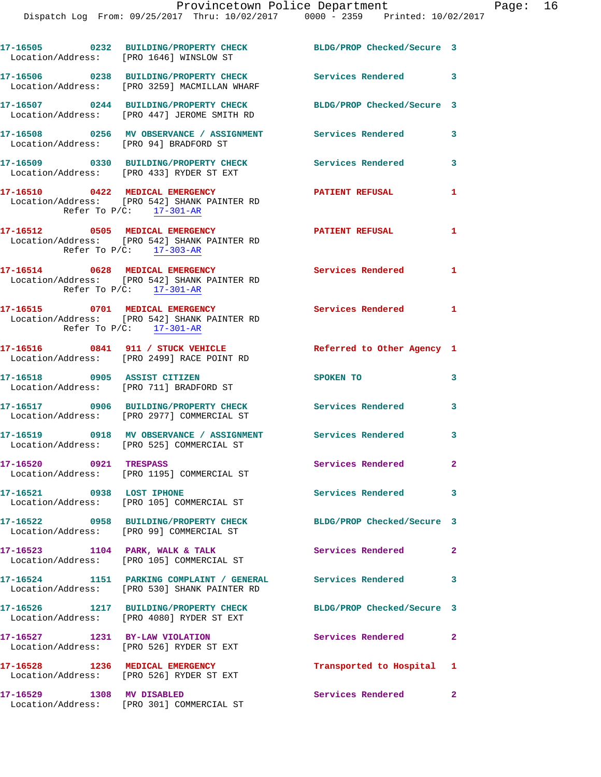| Location/Address: [PRO 1646] WINSLOW ST | 17-16505 0232 BUILDING/PROPERTY CHECK                                                                        | BLDG/PROP Checked/Secure 3 |              |
|-----------------------------------------|--------------------------------------------------------------------------------------------------------------|----------------------------|--------------|
|                                         | 17-16506 0238 BUILDING/PROPERTY CHECK<br>Location/Address: [PRO 3259] MACMILLAN WHARF                        | Services Rendered 3        |              |
|                                         | 17-16507 0244 BUILDING/PROPERTY CHECK<br>Location/Address: [PRO 447] JEROME SMITH RD                         | BLDG/PROP Checked/Secure 3 |              |
| Location/Address: [PRO 94] BRADFORD ST  | 17-16508 0256 MV OBSERVANCE / ASSIGNMENT Services Rendered                                                   |                            | $\mathbf{3}$ |
|                                         | 17-16509 0330 BUILDING/PROPERTY CHECK<br>Location/Address: [PRO 433] RYDER ST EXT                            | Services Rendered          | 3            |
| Refer To $P/C$ : 17-301-AR              | 17-16510 0422 MEDICAL EMERGENCY<br>Location/Address: [PRO 542] SHANK PAINTER RD                              | <b>PATIENT REFUSAL</b>     | 1            |
|                                         | 17-16512 0505 MEDICAL EMERGENCY<br>Location/Address: [PRO 542] SHANK PAINTER RD<br>Refer To $P/C:$ 17-303-AR | <b>PATIENT REFUSAL</b>     | $\mathbf{1}$ |
|                                         | 17-16514 0628 MEDICAL EMERGENCY<br>Location/Address: [PRO 542] SHANK PAINTER RD<br>Refer To $P/C:$ 17-301-AR | Services Rendered 1        |              |
| Refer To $P/C$ : 17-301-AR              | 17-16515 0701 MEDICAL EMERGENCY<br>Location/Address: [PRO 542] SHANK PAINTER RD                              | Services Rendered 1        |              |
|                                         | 17-16516 0841 911 / STUCK VEHICLE<br>Location/Address: [PRO 2499] RACE POINT RD                              | Referred to Other Agency 1 |              |
| 17-16518 0905 ASSIST CITIZEN            | Location/Address: [PRO 711] BRADFORD ST                                                                      | SPOKEN TO                  | 3            |
|                                         | 17-16517 0906 BUILDING/PROPERTY CHECK<br>Location/Address: [PRO 2977] COMMERCIAL ST                          | Services Rendered          | 3            |
|                                         | 17-16519 0918 MV OBSERVANCE / ASSIGNMENT Services Rendered<br>Location/Address: [PRO 525] COMMERCIAL ST      |                            | 3            |
| 17-16520 0921 TRESPASS                  | Location/Address: [PRO 1195] COMMERCIAL ST                                                                   | Services Rendered          | $\mathbf{2}$ |
| 17-16521 0938 LOST IPHONE               | Location/Address: [PRO 105] COMMERCIAL ST                                                                    | Services Rendered 3        |              |
|                                         | 17-16522 0958 BUILDING/PROPERTY CHECK<br>Location/Address: [PRO 99] COMMERCIAL ST                            | BLDG/PROP Checked/Secure 3 |              |
|                                         | 17-16523 1104 PARK, WALK & TALK<br>Location/Address: [PRO 105] COMMERCIAL ST                                 | Services Rendered          | $\mathbf{2}$ |
|                                         | Location/Address: [PRO 530] SHANK PAINTER RD                                                                 | <b>Services Rendered</b>   | 3            |
|                                         | 17-16526 1217 BUILDING/PROPERTY CHECK<br>Location/Address: [PRO 4080] RYDER ST EXT                           | BLDG/PROP Checked/Secure 3 |              |
| 17-16527 1231 BY-LAW VIOLATION          | Location/Address: [PRO 526] RYDER ST EXT                                                                     | Services Rendered          | $\mathbf{2}$ |
| 17-16528 1236 MEDICAL EMERGENCY         | Location/Address: [PRO 526] RYDER ST EXT                                                                     | Transported to Hospital 1  |              |
| 17-16529 1308 MV DISABLED               |                                                                                                              | Services Rendered 2        |              |

Location/Address: [PRO 301] COMMERCIAL ST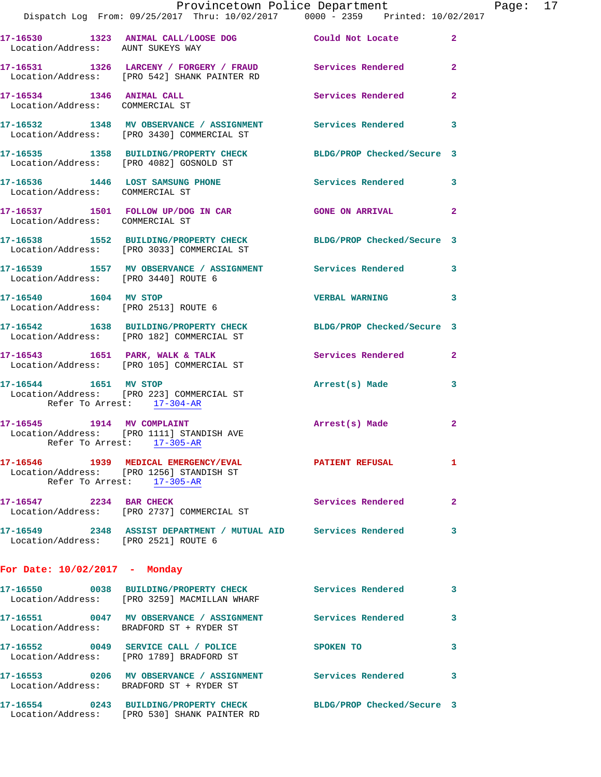|                                                     | Dispatch Log From: 09/25/2017 Thru: 10/02/2017 0000 - 2359 Printed: 10/02/2017                                 | Provincetown Police Department Page: 17 |              |  |
|-----------------------------------------------------|----------------------------------------------------------------------------------------------------------------|-----------------------------------------|--------------|--|
| Location/Address: AUNT SUKEYS WAY                   | 17-16530 1323 ANIMAL CALL/LOOSE DOG Could Not Locate 2                                                         |                                         |              |  |
|                                                     | 17-16531 1326 LARCENY / FORGERY / FRAUD Services Rendered 2<br>Location/Address: [PRO 542] SHANK PAINTER RD    |                                         |              |  |
| Location/Address: COMMERCIAL ST                     | 17-16534 1346 ANIMAL CALL                                                                                      | Services Rendered                       | $\mathbf{2}$ |  |
|                                                     | 17-16532 1348 MV OBSERVANCE / ASSIGNMENT Services Rendered 3<br>Location/Address: [PRO 3430] COMMERCIAL ST     |                                         |              |  |
|                                                     | 17-16535 1358 BUILDING/PROPERTY CHECK BLDG/PROP Checked/Secure 3<br>Location/Address: [PRO 4082] GOSNOLD ST    |                                         |              |  |
| Location/Address: COMMERCIAL ST                     | 17-16536 1446 LOST SAMSUNG PHONE 6 Services Rendered 3                                                         |                                         |              |  |
| Location/Address: COMMERCIAL ST                     | 17-16537 1501 FOLLOW UP/DOG IN CAR GONE ON ARRIVAL 2                                                           |                                         |              |  |
|                                                     | 17-16538 1552 BUILDING/PROPERTY CHECK BLDG/PROP Checked/Secure 3<br>Location/Address: [PRO 3033] COMMERCIAL ST |                                         |              |  |
| Location/Address: [PRO 3440] ROUTE 6                | 17-16539 1557 MV OBSERVANCE / ASSIGNMENT Services Rendered 3                                                   |                                         |              |  |
|                                                     | 17-16540 1604 MV STOP<br>Location/Address: [PRO 2513] ROUTE 6                                                  | <b>VERBAL WARNING</b>                   | 3            |  |
|                                                     | 17-16542 1638 BUILDING/PROPERTY CHECK BLDG/PROP Checked/Secure 3<br>Location/Address: [PRO 182] COMMERCIAL ST  |                                         |              |  |
|                                                     | 17-16543 1651 PARK, WALK & TALK 1988 Services Rendered<br>Location/Address: [PRO 105] COMMERCIAL ST            |                                         | $\mathbf{2}$ |  |
| 17-16544 1651 MV STOP<br>Refer To Arrest: 17-304-AR | Location/Address: [PRO 223] COMMERCIAL ST                                                                      | Arrest(s) Made                          | 3            |  |
|                                                     | 17-16545 1914 MV COMPLAINT<br>Location/Address: [PRO 1111] STANDISH AVE<br>Refer To Arrest: 17-305-AR          | Arrest(s) Made                          | 2            |  |
| Refer To Arrest: 17-305-AR                          | 17-16546 1939 MEDICAL EMERGENCY/EVAL 2001 PATIENT REFUSAL 1<br>Location/Address: [PRO 1256] STANDISH ST        |                                         |              |  |
|                                                     | 17-16547 2234 BAR CHECK<br>Location/Address: [PRO 2737] COMMERCIAL ST                                          | Services Rendered                       | -2           |  |
| Location/Address: [PRO 2521] ROUTE 6                | 17-16549 2348 ASSIST DEPARTMENT / MUTUAL AID Services Rendered 3                                               |                                         |              |  |
| For Date: 10/02/2017 - Monday                       |                                                                                                                |                                         |              |  |
|                                                     | 17-16550 0038 BUILDING/PROPERTY CHECK Services Rendered 3<br>Location/Address: [PRO 3259] MACMILLAN WHARF      |                                         |              |  |
|                                                     | 17-16551 0047 MV OBSERVANCE / ASSIGNMENT Services Rendered 3<br>Location/Address: BRADFORD ST + RYDER ST       |                                         |              |  |
|                                                     | 17-16552 0049 SERVICE CALL / POLICE SPOKEN TO<br>Location/Address: [PRO 1789] BRADFORD ST                      |                                         | 3            |  |
|                                                     | 17-16553 0206 MV OBSERVANCE / ASSIGNMENT Services Rendered 3<br>Location/Address: BRADFORD ST + RYDER ST       |                                         |              |  |
|                                                     | 17-16554 0243 BUILDING/PROPERTY CHECK BLDG/PROP Checked/Secure 3                                               |                                         |              |  |

Location/Address: [PRO 530] SHANK PAINTER RD